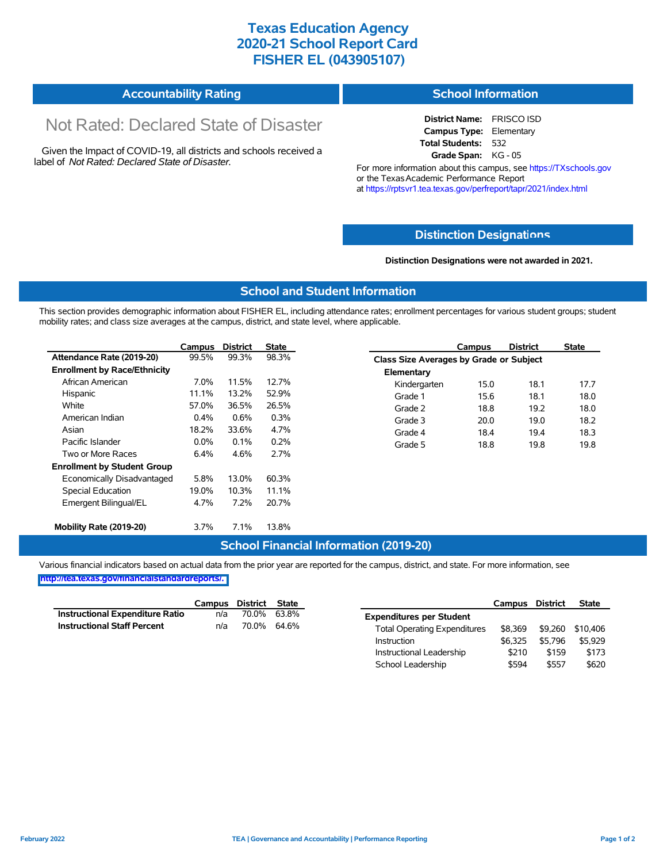## **Texas Education Agency 2020-21 School Report Card FISHER EL (043905107)**

| <b>Accountability Rating</b> | <b>School Information</b> |
|------------------------------|---------------------------|
|------------------------------|---------------------------|

# Not Rated: Declared State of Disaster

Given the Impact of COVID-19, all districts and schools received a label of *Not Rated: Declared State of Disaster.*

**District Name:** FRISCO ISD **Campus Type:** Elementary **Total Students:** 532 **Grade Span:** KG - 05

For more information about this campus, see https://TXschools.gov or the Texas Academic Performance Report at https://rptsvr1.tea.texas.gov/perfreport/tapr/2021/index.html

#### **Distinction Designat[ions](https://TXschools.gov)**

**Distinction Designations were not awarded in 2021.**

School Leadership  $$594$  \$557 \$620

#### **School and Student Information**

This section provides demographic information about FISHER EL, including attendance rates; enrollment percentages for various student groups; student mobility rates; and class size averages at the campus, district, and state level, where applicable.

|                                     | Campus  | District | <b>State</b> |              | Campus                                  | <b>District</b> | <b>State</b> |  |
|-------------------------------------|---------|----------|--------------|--------------|-----------------------------------------|-----------------|--------------|--|
| Attendance Rate (2019-20)           | 99.5%   | 99.3%    | 98.3%        |              | Class Size Averages by Grade or Subject |                 |              |  |
| <b>Enrollment by Race/Ethnicity</b> |         |          |              | Elementary   |                                         |                 |              |  |
| African American                    | 7.0%    | 11.5%    | 12.7%        | Kindergarten | 15.0                                    | 18.1            | 17.7         |  |
| Hispanic                            | 11.1%   | 13.2%    | 52.9%        | Grade 1      | 15.6                                    | 18.1            | 18.0         |  |
| White                               | 57.0%   | 36.5%    | 26.5%        | Grade 2      | 18.8                                    | 19.2            | 18.0         |  |
| American Indian                     | 0.4%    | 0.6%     | 0.3%         | Grade 3      | 20.0                                    | 19.0            | 18.2         |  |
| Asian                               | 18.2%   | 33.6%    | 4.7%         | Grade 4      | 18.4                                    | 19.4            | 18.3         |  |
| Pacific Islander                    | $0.0\%$ | 0.1%     | 0.2%         | Grade 5      | 18.8                                    | 19.8            | 19.8         |  |
| Two or More Races                   | 6.4%    | 4.6%     | 2.7%         |              |                                         |                 |              |  |
| <b>Enrollment by Student Group</b>  |         |          |              |              |                                         |                 |              |  |
| Economically Disadvantaged          | 5.8%    | 13.0%    | 60.3%        |              |                                         |                 |              |  |
| Special Education                   | 19.0%   | 10.3%    | 11.1%        |              |                                         |                 |              |  |
| Emergent Bilingual/EL               | 4.7%    | 7.2%     | 20.7%        |              |                                         |                 |              |  |
|                                     |         |          |              |              |                                         |                 |              |  |
| Mobility Rate (2019-20)             | 3.7%    | 7.1%     | 13.8%        |              |                                         |                 |              |  |

#### **School Financial Information (2019-20)**

Various financial indicators based on actual data from the prior year are reported for the campus, district, and state. For more information, see

**[http://tea.texas.gov/financialstandardreports/.](http://tea.texas.gov/financialstandardreports/)**

|                                        | Campus | District | State |                                     | Campus  | <b>District</b> | <b>State</b> |
|----------------------------------------|--------|----------|-------|-------------------------------------|---------|-----------------|--------------|
| <b>Instructional Expenditure Ratio</b> | n/a    | 70.0%    | 63.8% | <b>Expenditures per Student</b>     |         |                 |              |
| <b>Instructional Staff Percent</b>     | n/a    | 70.0%    | 64.6% | <b>Total Operating Expenditures</b> | \$8.369 | \$9.260         | \$10.406     |
|                                        |        |          |       | Instruction                         | \$6.325 | \$5.796         | \$5.929      |
|                                        |        |          |       | Instructional Leadership            | \$210   | \$159           | \$173        |